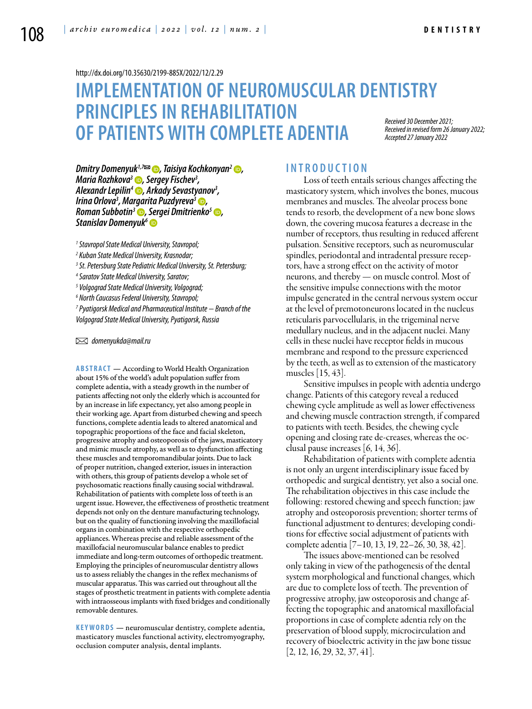<http://dx.doi.org/10.35630/2199-885X/2022/12/2.29>

# **IMPLEMENTATION OF NEUROMUSCULAR DENTISTRY PRINCIPLES IN REHABILITATION OF PATIENTS WITH COMPLETE ADENTIA** *Accepted 27 January 2022*

*Received 30 December 2021; Received in revised form 26 January 2022;* 

*[Dmitry Domenyuk](https://orcid.org/0000-0003-4022-5020)1,7 , [Taisiya Kochkonyan](https://orcid.org/0000-0003-1613-3425)2 , [Maria Rozhkova](https://orcid.org/0000-0002-7695-149X)3 , Sergey Fischev3 , [Alexandr Lepilin](https://orcid.org/0000-0001-6940-5178)4 , Arkady Sevastyanov3 , Irina Orlova3 , [Margarita Puzdyreva3](https://orcid.org/0000-0002-8822-7626) , [Roman Subbotin3](https://orcid.org/0000-0003-4108-1938) , [Sergei Dmitrienko](https://orcid.org/0000-0001-6955-2872)5 , [Stanislav Domenyuk6](https://orcid.org/0000-0001-5239-4601)*

*1 Stavropol State Medical University, Stavropol;* 

- *2 Kuban State Medical University, Krasnodar;*
- *3 St. Petersburg State Pediatric Medical University, St. Petersburg;*
- *4 Saratov State Medical University, Saratov;*
- *5 Volgograd State Medical University, Volgograd;*
- *6 North Caucasus Federal University, Stavropol;*

*7 Pyatigorsk Medical and Pharmaceutical Institute − Branch of the Volgograd State Medical University, Pyatigorsk, Russia*

 *domenyukda@mail.ru*

**Abstract** — According to World Health Organization about 15% of the world's adult population suffer from complete adentia, with a steady growth in the number of patients affecting not only the elderly which is accounted for by an increase in life expectancy, yet also among people in their working age. Apart from disturbed chewing and speech functions, complete adentia leads to altered anatomical and topographic proportions of the face and facial skeleton, progressive atrophy and osteoporosis of the jaws, masticatory and mimic muscle atrophy, as well as to dysfunction affecting these muscles and temporomandibular joints. Due to lack of proper nutrition, changed exterior, issues in interaction with others, this group of patients develop a whole set of psychosomatic reactions finally causing social withdrawal. Rehabilitation of patients with complete loss of teeth is an urgent issue. However, the effectiveness of prosthetic treatment depends not only on the denture manufacturing technology, but on the quality of functioning involving the maxillofacial organs in combination with the respective orthopedic appliances. Whereas precise and reliable assessment of the maxillofacial neuromuscular balance enables to predict immediate and long-term outcomes of orthopedic treatment. Employing the principles of neuromuscular dentistry allows us to assess reliably the changes in the reflex mechanisms of muscular apparatus. This was carried out throughout all the stages of prosthetic treatment in patients with complete adentia with intraosseous implants with fixed bridges and conditionally removable dentures.

**KEYWORDS** — neuromuscular dentistry, complete adentia, masticatory muscles functional activity, electromyography, occlusion computer analysis, dental implants.

### **I n t r o ducti o n**

Loss of teeth entails serious changes affecting the masticatory system, which involves the bones, mucous membranes and muscles. The alveolar process bone tends to resorb, the development of a new bone slows down, the covering mucosa features a decrease in the number of receptors, thus resulting in reduced afferent pulsation. Sensitive receptors, such as neuromuscular spindles, periodontal and intradental pressure receptors, have a strong effect on the activity of motor neurons, and thereby — on muscle control. Most of the sensitive impulse connections with the motor impulse generated in the central nervous system occur at the level of premotoneurons located in the nucleus reticularis parvocellularis, in the trigeminal nerve medullary nucleus, and in the adjacent nuclei. Many cells in these nuclei have receptor fields in mucous membrane and respond to the pressure experienced by the teeth, as well as to extension of the masticatory muscles [15, 43].

Sensitive impulses in people with adentia undergo change. Patients of this category reveal a reduced chewing cycle amplitude as well as lower effectiveness and chewing muscle contraction strength, if compared to patients with teeth. Besides, the chewing cycle opening and closing rate de-creases, whereas the occlusal pause increases [6, 14, 36].

Rehabilitation of patients with complete adentia is not only an urgent interdisciplinary issue faced by orthopedic and surgical dentistry, yet also a social one. The rehabilitation objectives in this case include the following: restored chewing and speech function; jaw atrophy and osteoporosis prevention; shorter terms of functional adjustment to dentures; developing conditions for effective social adjustment of patients with complete adentia [7–10, 13, 19, 22–26, 30, 38, 42].

The issues above-mentioned can be resolved only taking in view of the pathogenesis of the dental system morphological and functional changes, which are due to complete loss of teeth. The prevention of progressive atrophy, jaw osteoporosis and change affecting the topographic and anatomical maxillofacial proportions in case of complete adentia rely on the preservation of blood supply, microcirculation and recovery of bioelectric activity in the jaw bone tissue  $[2, 12, 16, 29, 32, 37, 41]$ .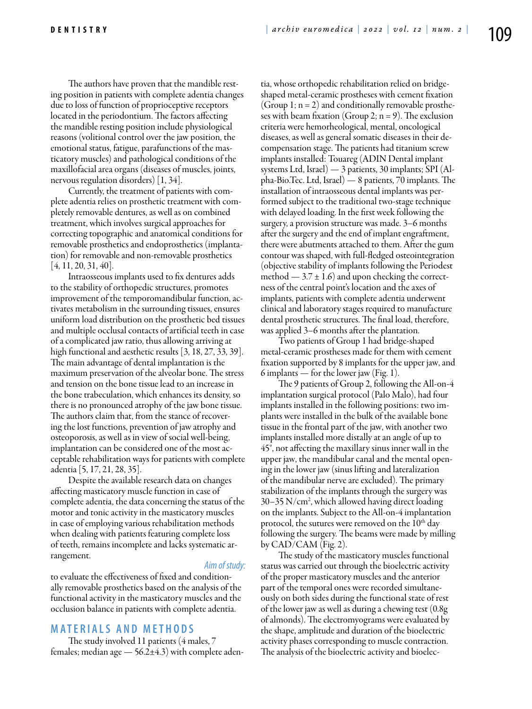The authors have proven that the mandible resting position in patients with complete adentia changes due to loss of function of proprioceptive receptors located in the periodontium. The factors affecting the mandible resting position include physiological reasons (volitional control over the jaw position, the emotional status, fatigue, parafunctions of the masticatory muscles) and pathological conditions of the maxillofacial area organs (diseases of muscles, joints, nervous regulation disorders) [1, 34].

Currently, the treatment of patients with complete adentia relies on prosthetic treatment with completely removable dentures, as well as on combined treatment, which involves surgical approaches for correcting topographic and anatomical conditions for removable prosthetics and endoprosthetics (implantation) for removable and non-removable prosthetics  $[4, 11, 20, 31, 40]$ .

Intraosseous implants used to fix dentures adds to the stability of orthopedic structures, promotes improvement of the temporomandibular function, activates metabolism in the surrounding tissues, ensures uniform load distribution on the prosthetic bed tissues and multiple occlusal contacts of artificial teeth in case of a complicated jaw ratio, thus allowing arriving at high functional and aesthetic results [3, 18, 27, 33, 39]. The main advantage of dental implantation is the maximum preservation of the alveolar bone. The stress and tension on the bone tissue lead to an increase in the bone trabeculation, which enhances its density, so there is no pronounced atrophy of the jaw bone tissue. The authors claim that, from the stance of recovering the lost functions, prevention of jaw atrophy and osteoporosis, as well as in view of social well-being, implantation can be considered one of the most acceptable rehabilitation ways for patients with complete adentia [5, 17, 21, 28, 35].

Despite the available research data on changes affecting masticatory muscle function in case of complete adentia, the data concerning the status of the motor and tonic activity in the masticatory muscles in case of employing various rehabilitation methods when dealing with patients featuring complete loss of teeth, remains incomplete and lacks systematic arrangement.

#### *Aim of study:*

to evaluate the effectiveness of fixed and conditionally removable prosthetics based on the analysis of the functional activity in the masticatory muscles and the occlusion balance in patients with complete adentia.

### **M ATE R I A LS A N D MET H O D S**

The study involved 11 patients (4 males, 7 females; median age  $-56.2\pm4.3$ ) with complete adentia, whose orthopedic rehabilitation relied on bridgeshaped metal-ceramic prostheses with cement fixation (Group 1;  $n = 2$ ) and conditionally removable prostheses with beam fixation (Group 2;  $n = 9$ ). The exclusion criteria were hemorheological, mental, oncological diseases, as well as general somatic diseases in their decompensation stage. The patients had titanium screw implants installed: Touareg (ADIN Dental implant systems Ltd, Israel) — 3 patients, 30 implants; SPI (Alpha-Bio.Tec. Ltd, Israel) — 8 patients, 70 implants. The installation of intraosseous dental implants was performed subject to the traditional two-stage technique with delayed loading. In the first week following the surgery, a provision structure was made. 3–6 months after the surgery and the end of implant engraftment, there were abutments attached to them. After the gum contour was shaped, with full-fledged osteointegration (objective stability of implants following the Periodest method  $-3.7 \pm 1.6$ ) and upon checking the correctness of the central point's location and the axes of implants, patients with complete adentia underwent clinical and laboratory stages required to manufacture dental prosthetic structures. The final load, therefore, was applied 3–6 months after the plantation.

Two patients of Group 1 had bridge-shaped metal-ceramic prostheses made for them with cement fixation supported by 8 implants for the upper jaw, and 6 implants — for the lower jaw (Fig. 1).

The 9 patients of Group 2, following the All-on-4 implantation surgical protocol (Palo Malo), had four implants installed in the following positions: two implants were installed in the bulk of the available bone tissue in the frontal part of the jaw, with another two implants installed more distally at an angle of up to 45°, not affecting the maxillary sinus inner wall in the upper jaw, the mandibular canal and the mental opening in the lower jaw (sinus lifting and lateralization of the mandibular nerve are excluded). The primary stabilization of the implants through the surgery was 30–35 N/cm2 , which allowed having direct loading on the implants. Subject to the All-on-4 implantation protocol, the sutures were removed on the  $10<sup>th</sup>$  day following the surgery. The beams were made by milling by  $CAD/CAM$  (Fig. 2).

The study of the masticatory muscles functional status was carried out through the bioelectric activity of the proper masticatory muscles and the anterior part of the temporal ones were recorded simultaneously on both sides during the functional state of rest of the lower jaw as well as during a chewing test (0.8g of almonds). The electromyograms were evaluated by the shape, amplitude and duration of the bioelectric activity phases corresponding to muscle contraction. The analysis of the bioelectric activity and bioelec-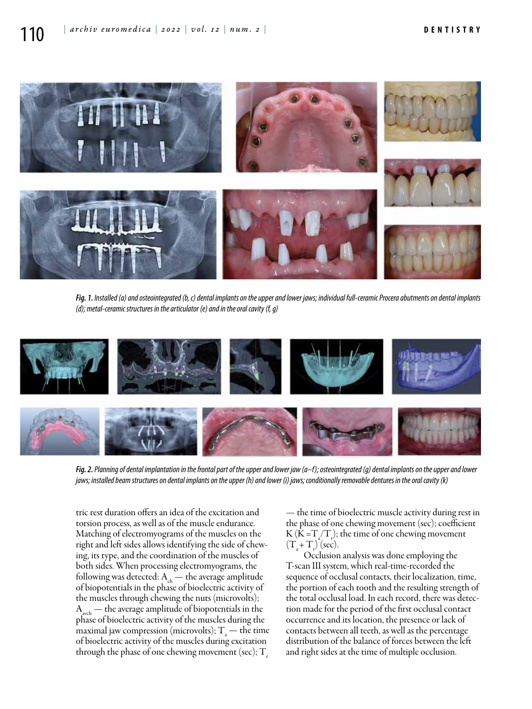

*Fig. 1. Installed (a) and osteointegrated (b, c) dental implants on the upper and lower jaws; individual full-ceramic Procera abutments on dental implants (d); metal-ceramic structures in the articulator (e) and in the oral cavity (f, g)*



*Fig. 2. Planning of dental implantation in the frontal part of the upper and lower jaw (a–f); osteointegrated (g) dental implants on the upper and lower jaws; installed beam structures on dental implants on the upper (h) and lower (i) jaws; conditionally removable dentures in the oral cavity (k)*

tric rest duration offers an idea of the excitation and torsion process, as well as of the muscle endurance. Matching of electromyograms of the muscles on the right and left sides allows identifying the side of chewing, its type, and the coordination of the muscles of both sides. When processing electromyograms, the following was detected:  $A_{ch}$  — the average amplitude of biopotentials in the phase of bioelectric activity of the muscles through chewing the nuts (microvolts);  $A<sub>avch</sub>$  — the average amplitude of biopotentials in the phase of bioelectric activity of the muscles during the maximal jaw compression (microvolts);  $T_{a}$  — the time of bioelectric activity of the muscles during excitation through the phase of one chewing movement (sec);  $T<sub>r</sub>$ 

— the time of bioelectric muscle activity during rest in the phase of one chewing movement (sec); coefficient  $K(K=T_{a}/T_{r})$ ; the time of one chewing movement  $(T_a+T_r)(\text{sec}).$ 

Occlusion analysis was done employing the T-scan III system, which real-time-recorded the sequence of occlusal contacts, their localization, time, the portion of each tooth and the resulting strength of the total occlusal load. In each record, there was detection made for the period of the first occlusal contact occurrence and its location, the presence or lack of contacts between all teeth, as well as the percentage distribution of the balance of forces between the left and right sides at the time of multiple occlusion.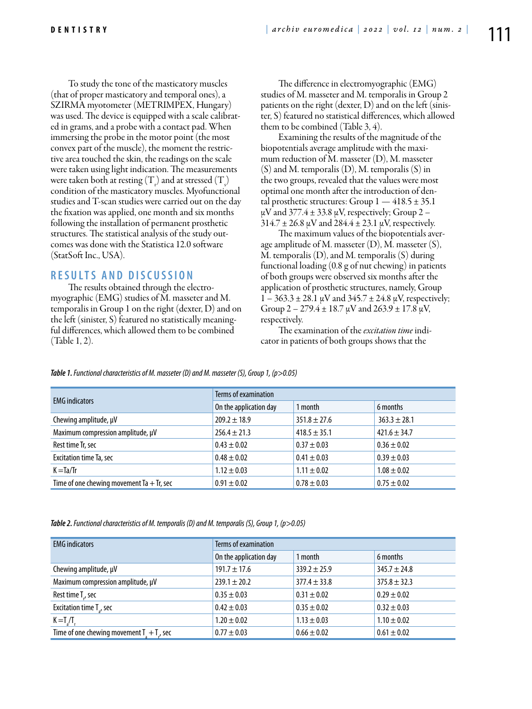To study the tone of the masticatory muscles (that of proper masticatory and temporal ones), a SZIRMA myotometer (METRIMPEX, Hungary) was used. The device is equipped with a scale calibrated in grams, and a probe with a contact pad. When immersing the probe in the motor point (the most convex part of the muscle), the moment the restrictive area touched the skin, the readings on the scale were taken using light indication. The measurements were taken both at resting  $(T_{\rm r})$  and at stressed  $(T_{\rm s})$ condition of the masticatory muscles. Myofunctional studies and T-scan studies were carried out on the day the fixation was applied, one month and six months following the installation of permanent prosthetic structures. The statistical analysis of the study outcomes was done with the Statistica 12.0 software (StatSoft Inc., USA).

## **R ES U LTS A N D D ISC U SSI ON**

The results obtained through the electromyographic (EMG) studies of M. masseter and M. temporalis in Group 1 on the right (dexter, D) and on the left (sinister, S) featured no statistically meaningful differences, which allowed them to be combined (Table 1, 2).

The difference in electromyographic (EMG) studies of M. masseter and M. temporalis in Group 2 patients on the right (dexter, D) and on the left (sinister, S) featured no statistical differences, which allowed them to be combined (Table 3, 4).

Examining the results of the magnitude of the biopotentials average amplitude with the maximum reduction of M. masseter (D), M. masseter (S) and M. temporalis (D), M. temporalis (S) in the two groups, revealed that the values were most optimal one month after the introduction of dental prosthetic structures: Group  $1 - 418.5 \pm 35.1$  $\mu$ V and 377.4  $\pm$  33.8  $\mu$ V, respectively; Group 2 –  $314.7 \pm 26.8 \,\mu\text{V}$  and  $284.4 \pm 23.1 \,\mu\text{V}$ , respectively.

The maximum values of the biopotentials average amplitude of M. masseter  $(D)$ , M. masseter  $(S)$ , M. temporalis (D), and M. temporalis (S) during functional loading (0.8 g of nut chewing) in patients of both groups were observed six months after the application of prosthetic structures, namely, Group  $1 - 363.3 \pm 28.1 \,\mu\text{V}$  and  $345.7 \pm 24.8 \,\mu\text{V}$ , respectively; Group  $2 - 279.4 \pm 18.7 \mu V$  and  $263.9 \pm 17.8 \mu V$ , respectively.

The examination of the *excitation time* indicator in patients of both groups shows that the

| <b>EMG</b> indicators                       | Terms of examination   |                  |                  |
|---------------------------------------------|------------------------|------------------|------------------|
|                                             | On the application day | 1 month          | 6 months         |
| Chewing amplitude, µV                       | $209.2 \pm 18.9$       | $351.8 \pm 27.6$ | $363.3 \pm 28.1$ |
| Maximum compression amplitude, µV           | $256.4 \pm 21.3$       | $418.5 \pm 35.1$ | $421.6 \pm 34.7$ |
| Rest time Tr, sec                           | $0.43 \pm 0.02$        | $0.37 \pm 0.03$  | $0.36 \pm 0.02$  |
| Excitation time Ta, sec                     | $0.48 \pm 0.02$        | $0.41 \pm 0.03$  | $0.39 \pm 0.03$  |
| $K = Ta/Tr$                                 | $1.12 \pm 0.03$        | $1.11 \pm 0.02$  | $1.08 \pm 0.02$  |
| Time of one chewing movement Ta $+$ Tr, sec | $0.91 \pm 0.02$        | $0.78 \pm 0.03$  | $0.75 \pm 0.02$  |

*Table 1. Functional characteristics of M. masseter (D) and M. masseter (S), Group 1, (p>0.05)*

*Table 2. Functional characteristics of M. temporalis (D) and M. temporalis (S), Group 1, (p>0.05)*

| <b>EMG</b> indicators                          | Terms of examination   |                  |                  |
|------------------------------------------------|------------------------|------------------|------------------|
|                                                | On the application day | 1 month          | 6 months         |
| Chewing amplitude, µV                          | $191.7 \pm 17.6$       | $339.2 \pm 25.9$ | $345.7 \pm 24.8$ |
| Maximum compression amplitude, µV              | $239.1 \pm 20.2$       | $377.4 \pm 33.8$ | $375.8 \pm 32.3$ |
| Rest time T <sub>r</sub> , sec                 | $0.35 \pm 0.03$        | $0.31 \pm 0.02$  | $0.29 \pm 0.02$  |
| Excitation time T <sub>2</sub> , sec           | $0.42 \pm 0.03$        | $0.35 \pm 0.02$  | $0.32 \pm 0.03$  |
| $K = T_{\text{A}}/T_{\text{A}}$                | $1.20 \pm 0.02$        | $1.13 \pm 0.03$  | $1.10 \pm 0.02$  |
| Time of one chewing movement $T_1 + T_2$ , sec | $0.77 \pm 0.03$        | $0.66 \pm 0.02$  | $0.61 \pm 0.02$  |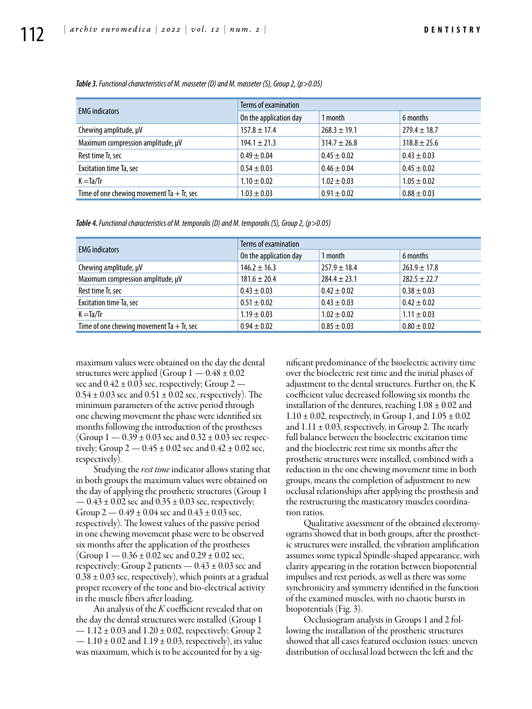| <b>EMG</b> indicators                       | Terms of examination   |                  |                  |
|---------------------------------------------|------------------------|------------------|------------------|
|                                             | On the application day | 1 month          | 6 months         |
| Chewing amplitude, µV                       | $157.8 \pm 17.4$       | $268.3 \pm 19.1$ | $279.4 \pm 18.7$ |
| Maximum compression amplitude, µV           | $194.1 \pm 21.3$       | $314.7 \pm 26.8$ | $318.8 \pm 25.6$ |
| Rest time Tr, sec                           | $0.49 \pm 0.04$        | $0.45 \pm 0.02$  | $0.43 \pm 0.03$  |
| Excitation time Ta, sec                     | $0.54 \pm 0.03$        | $0.46 \pm 0.04$  | $0.45 \pm 0.02$  |
| $K = Ta/Tr$                                 | $1.10 \pm 0.02$        | $1.02 \pm 0.03$  | $1.05 \pm 0.02$  |
| Time of one chewing movement Ta $+$ Tr, sec | $1.03 \pm 0.03$        | $0.91 \pm 0.02$  | $0.88 \pm 0.03$  |

*Table 3. Functional characteristics of M. masseter (D) and M. masseter (S), Group 2, (p>0.05)*

*Table 4. Functional characteristics of M. temporalis (D) and M. temporalis (S), Group 2, (p>0.05)*

| <b>EMG</b> indicators                       | Terms of examination   |                  |                  |
|---------------------------------------------|------------------------|------------------|------------------|
|                                             | On the application day | 1 month          | 6 months         |
| Chewing amplitude, $\mu$ V                  | $146.2 \pm 16.3$       | $257.9 \pm 18.4$ | $263.9 \pm 17.8$ |
| Maximum compression amplitude, µV           | $181.6 \pm 20.4$       | $284.4 \pm 23.1$ | $282.5 \pm 22.7$ |
| Rest time Tr, sec                           | $0.43 \pm 0.03$        | $0.42 \pm 0.02$  | $0.38 \pm 0.03$  |
| Excitation time Ta, sec                     | $0.51 \pm 0.02$        | $0.43 \pm 0.03$  | $0.42 \pm 0.02$  |
| $K = Ta/Tr$                                 | $1.19 \pm 0.03$        | $1.02 \pm 0.02$  | $1.11 \pm 0.03$  |
| Time of one chewing movement Ta $+$ Tr, sec | $0.94 \pm 0.02$        | $0.85 \pm 0.03$  | $0.80 \pm 0.02$  |

maximum values were obtained on the day the dental structures were applied (Group  $1 - 0.48 \pm 0.02$ sec and  $0.42 \pm 0.03$  sec, respectively; Group 2 —  $0.54 \pm 0.03$  sec and  $0.51 \pm 0.02$  sec, respectively). The minimum parameters of the active period through one chewing movement the phase were identified six months following the introduction of the prostheses (Group  $1 - 0.39 \pm 0.03$  sec and  $0.32 \pm 0.03$  sec respectively; Group  $2 - 0.45 \pm 0.02$  sec and  $0.42 \pm 0.02$  sec, respectively).

Studying the *rest time* indicator allows stating that in both groups the maximum values were obtained on the day of applying the prosthetic structures (Group 1  $-0.43 \pm 0.02$  sec and  $0.35 \pm 0.03$  sec, respectively; Group  $2 - 0.49 \pm 0.04$  sec and  $0.43 \pm 0.03$  sec, respectively). The lowest values of the passive period in one chewing movement phase were to be observed six months after the application of the prostheses (Group  $1 - 0.36 \pm 0.02$  sec and  $0.29 \pm 0.02$  sec, respectively; Group 2 patients  $-0.43 \pm 0.03$  sec and  $0.38 \pm 0.03$  sec, respectively), which points at a gradual proper recovery of the tone and bio-electrical activity in the muscle fibers after loading.

An analysis of the *K* coefficient revealed that on the day the dental structures were installed (Group 1  $-1.12 \pm 0.03$  and  $1.20 \pm 0.02$ , respectively; Group 2  $-1.10 \pm 0.02$  and  $1.19 \pm 0.03$ , respectively), its value was maximum, which is to be accounted for by a significant predominance of the bioelectric activity time over the bioelectric rest time and the initial phases of adjustment to the dental structures. Further on, the K coefficient value decreased following six months the installation of the dentures, reaching  $1.08 \pm 0.02$  and  $1.10 \pm 0.02$ , respectively, in Group 1, and  $1.05 \pm 0.02$ and  $1.11 \pm 0.03$ , respectively, in Group 2. The nearly full balance between the bioelectric excitation time and the bioelectric rest time six months after the prosthetic structures were installed, combined with a reduction in the one chewing movement time in both groups, means the completion of adjustment to new occlusal relationships after applying the prosthesis and the restructuring the masticatory muscles coordination ratios.

Qualitative assessment of the obtained electromyograms showed that in both groups, after the prosthetic structures were installed, the vibration amplification assumes some typical Spindle-shaped appearance, with clarity appearing in the rotation between biopotential impulses and rest periods, as well as there was some synchronicity and symmetry identified in the function of the examined muscles, with no chaotic bursts in biopotentials (Fig. 3).

Occlusiogram analysis in Groups 1 and 2 following the installation of the prosthetic structures showed that all cases featured occlusion issues: uneven distribution of occlusal load between the left and the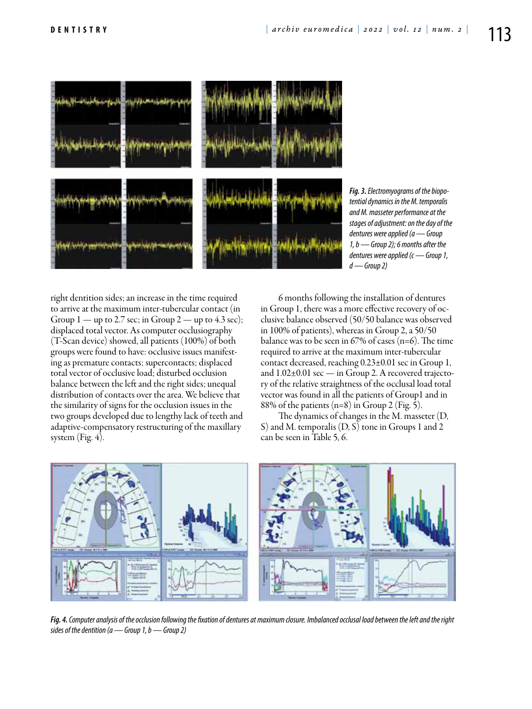

*Fig. 3. Electromyograms of the biopotential dynamics in the M. temporalis and M. masseter performance at the stages of adjustment: on the day of the dentures were applied (a — Group 1, b — Group 2); 6 months after the dentures were applied (c — Group 1, d — Group 2)*

right dentition sides; an increase in the time required to arrive at the maximum inter-tubercular contact (in Group  $1 -$  up to 2.7 sec; in Group  $2 -$  up to 4.3 sec); displaced total vector. As computer occlusiography (T-Scan device) showed, all patients (100%) of both groups were found to have: occlusive issues manifesting as premature contacts; supercontacts; displaced total vector of occlusive load; disturbed occlusion balance between the left and the right sides; unequal distribution of contacts over the area. We believe that the similarity of signs for the occlusion issues in the two groups developed due to lengthy lack of teeth and adaptive-compensatory restructuring of the maxillary system (Fig. 4).

6 months following the installation of dentures in Group 1, there was a more effective recovery of occlusive balance observed (50/50 balance was observed in 100% of patients), whereas in Group 2, a 50/50 balance was to be seen in  $67\%$  of cases (n=6). The time required to arrive at the maximum inter-tubercular contact decreased, reaching 0.23±0.01 sec in Group 1, and 1.02±0.01 sec — in Group 2. A recovered trajectory of the relative straightness of the occlusal load total vector was found in all the patients of Group1 and in 88% of the patients (n=8) in Group 2 (Fig. 5).

The dynamics of changes in the M. masseter (D, S) and M. temporalis (D, S) tone in Groups 1 and 2 can be seen in Table 5, 6.



*Fig. 4. Computer analysis of the occlusion following the fixation of dentures at maximum closure. Imbalanced occlusal load between the left and the right sides of the dentition (a — Group 1, b — Group 2)*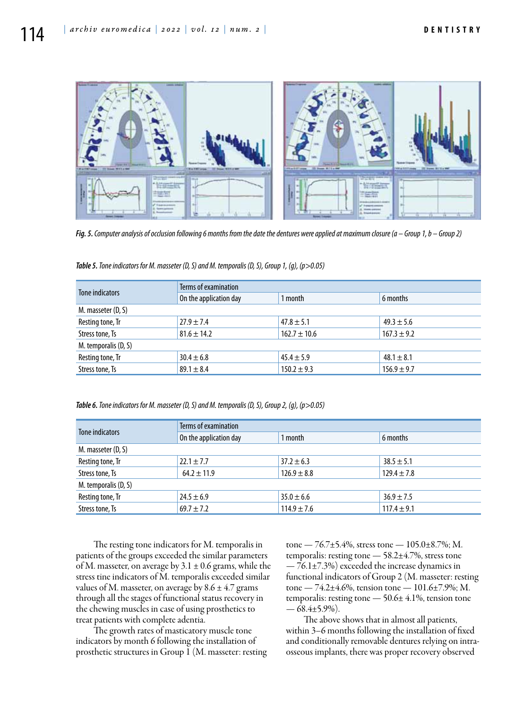

*Fig. 5. Computer analysis of occlusion following 6 months from the date the dentures were applied at maximum closure (a – Group 1, b – Group 2)*

| Tone indicators      | Terms of examination   |                  |                 |  |
|----------------------|------------------------|------------------|-----------------|--|
|                      | On the application day | 1 month          | 6 months        |  |
| M. masseter (D, S)   |                        |                  |                 |  |
| Resting tone, Tr     | $27.9 \pm 7.4$         | $47.8 \pm 5.1$   | $49.3 \pm 5.6$  |  |
| Stress tone, Ts      | $81.6 \pm 14.2$        | $162.7 \pm 10.6$ | $167.3 \pm 9.2$ |  |
| M. temporalis (D, S) |                        |                  |                 |  |
| Resting tone, Tr     | $30.4 \pm 6.8$         | $45.4 \pm 5.9$   | $48.1 \pm 8.1$  |  |
| Stress tone, Ts      | $89.1 \pm 8.4$         | $150.2 \pm 9.3$  | $156.9 \pm 9.7$ |  |

*Table 5. Tone indicators for M. masseter (D, S) and M. temporalis (D, S), Group 1, (g), (p>0.05)*

*Table 6. Tone indicators for M. masseter (D, S) and M. temporalis (D, S), Group 2, (g), (p>0.05)*

| Tone indicators      | Terms of examination   |                 |                 |  |
|----------------------|------------------------|-----------------|-----------------|--|
|                      | On the application day | 1 month         | 6 months        |  |
| M. masseter (D, S)   |                        |                 |                 |  |
| Resting tone, Tr     | $22.1 \pm 7.7$         | $37.2 \pm 6.3$  | $38.5 \pm 5.1$  |  |
| Stress tone, Ts      | $64.2 \pm 11.9$        | $126.9 \pm 8.8$ | $129.4 \pm 7.8$ |  |
| M. temporalis (D, S) |                        |                 |                 |  |
| Resting tone, Tr     | $24.5 \pm 6.9$         | $35.0 \pm 6.6$  | $36.9 \pm 7.5$  |  |
| Stress tone, Ts      | $69.7 \pm 7.2$         | $114.9 \pm 7.6$ | $117.4 \pm 9.1$ |  |

The resting tone indicators for M. temporalis in patients of the groups exceeded the similar parameters of M. masseter, on average by  $3.1 \pm 0.6$  grams, while the stress tine indicators of M. temporalis exceeded similar values of M. masseter, on average by  $8.6 \pm 4.7$  grams through all the stages of functional status recovery in the chewing muscles in case of using prosthetics to treat patients with complete adentia.

The growth rates of masticatory muscle tone indicators by month 6 following the installation of prosthetic structures in Group 1 (M. masseter: resting tone — 76.7±5.4%, stress tone — 105.0±8.7%; M. temporalis: resting tone — 58.2±4.7%, stress tone  $-76.1\pm7.3\%$ ) exceeded the increase dynamics in functional indicators of Group 2 (M. masseter: resting tone — 74.2±4.6%, tension tone — 101.6±7.9%; M. temporalis: resting tone — 50.6± 4.1%, tension tone  $-\overline{68.4}$ ±5.9%).

The above shows that in almost all patients, within 3–6 months following the installation of fixed and conditionally removable dentures relying on intraosseous implants, there was proper recovery observed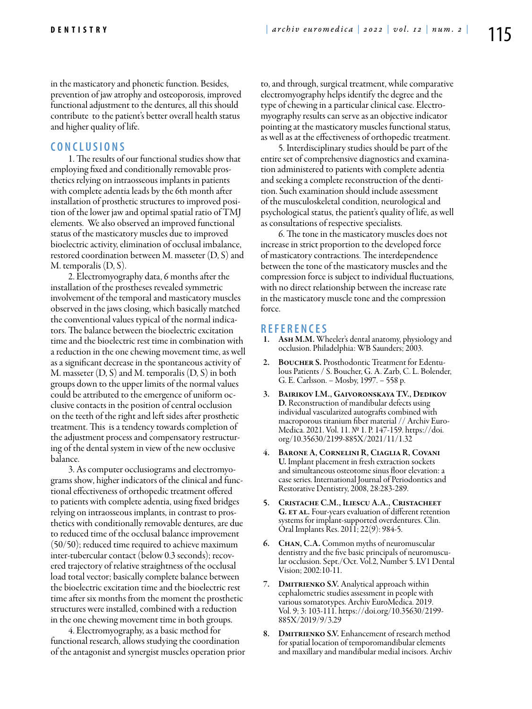in the masticatory and phonetic function. Besides, prevention of jaw atrophy and osteoporosis, improved functional adjustment to the dentures, all this should contribute to the patient's better overall health status and higher quality of life.

#### **C ON C L U SI ONS**

1. The results of our functional studies show that employing fixed and conditionally removable prosthetics relying on intraosseous implants in patients with complete adentia leads by the 6th month after installation of prosthetic structures to improved position of the lower jaw and optimal spatial ratio of TMJ elements. We also observed an improved functional status of the masticatory muscles due to improved bioelectric activity, elimination of occlusal imbalance, restored coordination between M. masseter (D, S) and M. temporalis (D, S).

2. Electromyography data, 6 months after the installation of the prostheses revealed symmetric involvement of the temporal and masticatory muscles observed in the jaws closing, which basically matched the conventional values typical of the normal indicators. The balance between the bioelectric excitation time and the bioelectric rest time in combination with a reduction in the one chewing movement time, as well as a significant decrease in the spontaneous activity of M. masseter  $(D, S)$  and M. temporalis  $(D, S)$  in both groups down to the upper limits of the normal values could be attributed to the emergence of uniform occlusive contacts in the position of central occlusion on the teeth of the right and left sides after prosthetic treatment. This is a tendency towards completion of the adjustment process and compensatory restructuring of the dental system in view of the new occlusive balance.

3. As computer occlusiograms and electromyograms show, higher indicators of the clinical and functional effectiveness of orthopedic treatment offered to patients with complete adentia, using fixed bridges relying on intraosseous implants, in contrast to prosthetics with conditionally removable dentures, are due to reduced time of the occlusal balance improvement (50/50); reduced time required to achieve maximum inter-tubercular contact (below 0.3 seconds); recovered trajectory of relative straightness of the occlusal load total vector; basically complete balance between the bioelectric excitation time and the bioelectric rest time after six months from the moment the prosthetic structures were installed, combined with a reduction in the one chewing movement time in both groups.

4. Electromyography, as a basic method for functional research, allows studying the coordination of the antagonist and synergist muscles operation prior to, and through, surgical treatment, while comparative electromyography helps identify the degree and the type of chewing in a particular clinical case. Electromyography results can serve as an objective indicator pointing at the masticatory muscles functional status, as well as at the effectiveness of orthopedic treatment.

5. Interdisciplinary studies should be part of the entire set of comprehensive diagnostics and examination administered to patients with complete adentia and seeking a complete reconstruction of the dentition. Such examination should include assessment of the musculoskeletal condition, neurological and psychological status, the patient's quality of life, as well as consultations of respective specialists.

6. The tone in the masticatory muscles does not increase in strict proportion to the developed force of masticatory contractions. The interdependence between the tone of the masticatory muscles and the compression force is subject to individual fluctuations, with no direct relationship between the increase rate in the masticatory muscle tone and the compression force.

- **<sup>R</sup> EFE <sup>R</sup> EN CES** 1. Ash M.M. Wheeler's dental anatomy, physiology and occlusion. Philadelphia: WB Saunders; 2003.
- 2. BOUCHER S. Prosthodontic Treatment for Edentulous Patients / S. Boucher, G. A. Zarb, C. L. Bolender, G. E. Carlsson. − Mosby, 1997. − 558 p.
- 3. Bairikov I.M., Gaivoronskaya T.V., Dedikov D. Reconstruction of mandibular defects using individual vascularized autografts combined with Medica. 2021. Vol. 11. № 1. P. 147-159. https://doi. org/10.35630/2199-885X/2021/11/1.32
- BARONE A, CORNELINI R, CIAGLIA R, COVANI U. Implant placement in fresh extraction sockets and simultaneous osteotome sinus floor elevation: a case series. International Journal of Periodontics and Restorative Dentistry, 2008, 28:283-289.
- 5. Cristache C.M., Iliescu A.A., Cristacheet G. ET AL. Four-years evaluation of different retention systems for implant-supported overdentures. Clin. Oral Implants Res. 2011; 22(9): 984-5.
- 6. Chan, C.A. Common myths of neuromuscular dentistry and the five basic principals of neuromuscular occlusion. Sept./Oct. Vol.2, Number 5. LV1 Dental Vision; 2002:10-11.
- 7. DMITRIENKO S.V. Analytical approach within cephalometric studies assessment in people with various somatotypes. Archiv EuroMedica. 2019. Vol. 9; 3: 103-111. https://doi.org/10.35630/2199- 885X/2019/9/3.29
- 8. DMITRIENKO S.V. Enhancement of research method for spatial location of temporomandibular elements and maxillary and mandibular medial incisors. Archiv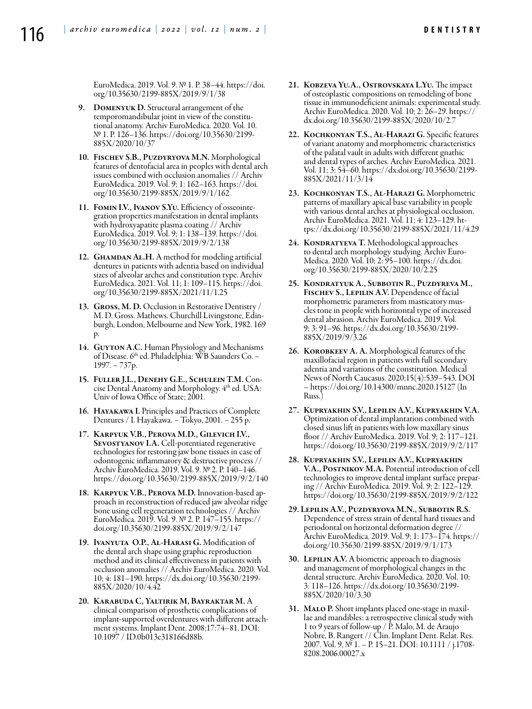EuroMedica. 2019. Vol. 9. № 1. P. 38–44. https://doi. org/10.35630/2199-885X/2019/9/1/38

- 9. Domenyuk D. Structural arrangement of the temporomandibular joint in view of the constitutional anatomy. Archiv EuroMedica. 2020. Vol. 10. № 1. Р. 126–136. https://doi.org/10.35630/2199- 885X/2020/10/37
- 10. Fischev S.B., Puzdyryova M.N. Morphological features of dentofacial area in peoples with dental arch issues combined with occlusion anomalies // Archiv EuroMedica. 2019. Vol. 9; 1: 162–163. https://doi. org/10.35630/2199-885X/2019/9/1/162
- 11. Fomin I.V., Ivanov S.Yu. Efficiency of osseointegration properties manifestation in dental implants with hydroxyapatite plasma coating // Archiv EuroMedica. 2019. Vol. 9; 1: 138–139. https://doi. org/10.35630/2199-885X/2019/9/2/138
- 12. GHAMDAN AL.H. A method for modeling artificial dentures in patients with adentia based on individual sizes of alveolar arches and constitution type. Archiv EuroMedica. 2021. Vol. 11; 1: 109–115. https://doi. org/10.35630/2199-885X/2021/11/1.25
- 13. Gross, M. D. Occlusion in Restorative Dentistry / M. D. Gross. Mathews. Churchill Livingstone, Edinburgh, London, Melbourne and New York, 1982. 169 p.
- 14. GUYTON A.C. Human Physiology and Mechanisms of Disease. 6<sup>th</sup> ed. Philadelphia: WB Saunders Co. – 1997. − 737р.
- 15. Fuller J.L., Denehy G.E., Schulein T.M. Concise Dental Anatomy and Morphology. 4th ed. USA: Univ of Iowa Office of State; 2001.
- 16. Hayakawa I. Principles and Practices of Complete Dentures / I. Hayakawa. − Tokyo, 2001. − 255 p.
- 17. Karpyuk V.B., Perova M.D., Gilevich I.V., SEVOSTYANOV I.A. Cell-potentiated regenerative technologies for restoring jaw bone tissues in case of odontogenic inflammatory & destructive process // Archiv EuroMedica. 2019. Vol. 9. № 2. P. 140–146. https://doi.org/10.35630/2199-885X/2019/9/2/140
- 18. Karpyuk V.B., Perova M.D. Innovation-based approach in reconstruction of reduced jaw alveolar ridge bone using cell regeneration technologies // Archiv EuroMedica. 2019. Vol. 9. № 2. P. 147–155. https:// doi.org/10.35630/2199-885X/2019/9/2/147
- 19. Ivanyuta O.P., Al-Harasi G. Modification of the dental arch shape using graphic reproduction method and its clinical effectiveness in patients with occlusion anomalies // Archiv EuroMedica. 2020. Vol. 10; 4: 181–190. https://dx.doi.org/10.35630/2199- 885X/2020/10/4.42
- 20. Karabuda C, Yaltirik M, Bayraktar M. A clinical comparison of prosthetic complications of implant-supported overdentures with different attachment systems. Implant Dent. 2008;17:74–81. DOI: 10.1097 / ID.0b013e318166d88b.
- 21. Kobzeva Yu.A., Ostrovskaya L.Yu. The impact of osteoplastic compositions on remodeling of bone tissue in immunodeficient animals: experimental study. Archiv EuroMedica. 2020. Vol. 10; 2: 26–29. https:// dx.doi.org/10.35630/2199-885X/2020/10/2.7
- 22. Kochkonyan T.S., Al-Harazi G. Specific features of variant anatomy and morphometric characteristics of the palatal vault in adults with different gnathic and dental types of arches. Archiv EuroMedica. 2021. Vol. 11; 3: 54–60. https://dx.doi.org/10.35630/2199- 885X/2021/11/3/14
- 23. Kochkonyan T.S., Al-Harazi G. Morphometric patterns of maxillary apical base variability in people with various dental arches at physiological occlusion. Archiv EuroMedica. 2021. Vol. 11; 4: 123–129. https://dx.doi.org/10.35630/2199-885X/2021/11/4.29
- 24. KONDRATYEVA T. Methodological approaches<br>to dental arch morphology studying. Archiv Euro-Medica. 2020. Vol. 10; 2: 95–100. https://dx.doi. org/10.35630/2199-885X/2020/10/2.25
- 25. Kondratyuk A., Subbotin R., Puzdyreva M., FISCHEV S., LEPILIN A.V. Dependence of facial morphometric parameters from masticatory muscles tone in people with horizontal type of increased dental abrasion. Archiv EuroMedica. 2019. Vol. 9; 3: 91–96. https://dx.doi.org/10.35630/2199- 885X/2019/9/3.26
- 26. Korobkeev А. А. Morphological features of the maxillofacial region in patients with full secondary adentia and variations of the constitution. Medical News of North Caucasus. 2020;15(4):539–543. DOI – https://doi.org/10.14300/mnnc.2020.15127 (In Russ.)
- 27. Kupryakhin S.V., Lepilin A.V., Kupryakhin V.A. Optimization of dental implantation combined with closed sinus lift in patients with low maxillary sinus floor // Archiv EuroMedica. 2019. Vol. 9; 2: 117–121. https://doi.org/10.35630/2199-885X/2019/9/2/117
- 28. Kupryakhin S.V., Lepilin A.V., Kupryakhin V.A., POSTNIKOV M.A. Potential introduction of cell technologies to improve dental implant surface preparing // Archiv EuroMedica. 2019. Vol. 9; 2: 122–129. https://doi.org/10.35630/2199-885X/2019/9/2/122
- 29. Lepilin A.V., Puzdyryova M.N., Subbotin R.S. Dependence of stress strain of dental hard tissues and periodontal on horizontal deformation degree // Archiv EuroMedica. 2019. Vol. 9; 1: 173–174. https:// doi.org/10.35630/2199-885X/2019/9/1/173
- 30. LEPILIN A.V. A biometric approach to diagnosis and management of morphological changes in the dental structure. Archiv EuroMedica. 2020. Vol. 10; 3: 118–126. https://dx.doi.org/10.35630/2199- 885X/2020/10/3.30
- 31. MALO P. Short implants placed one-stage in maxillae and mandibles: a retrospective clinical study with 1 to 9 years of follow-up / P. Malo, M. de Araujo Nobre, B. Rangert // Clin. Implant Dent. Relat. Res. 2007. Vol. 9, № 1. – P. 15–21. DOI: 10.1111 / j.1708- 8208.2006.00027.x